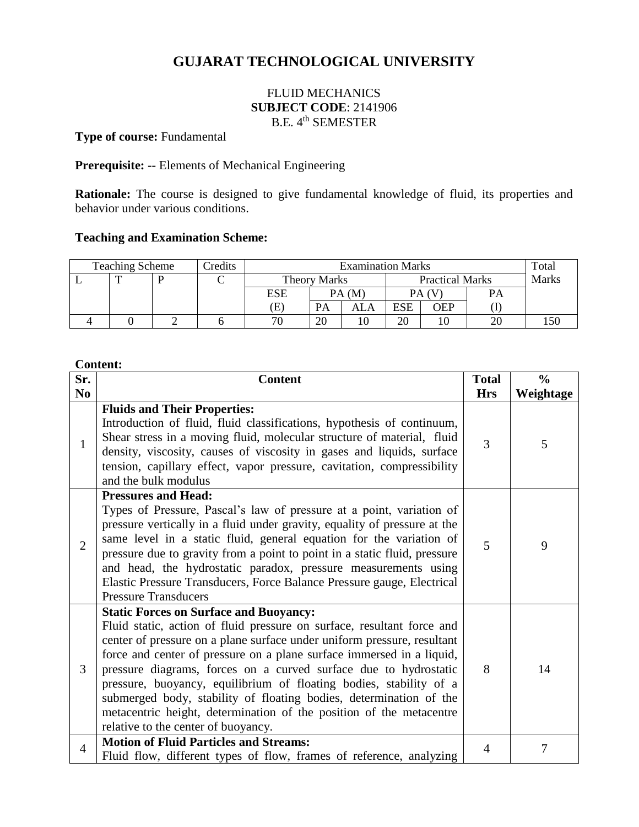# **GUJARAT TECHNOLOGICAL UNIVERSITY**

# FLUID MECHANICS **SUBJECT CODE**: 2141906 B.E. 4<sup>th</sup> SEMESTER

# **Type of course:** Fundamental

## **Prerequisite: --** Elements of Mechanical Engineering

**Rationale:** The course is designed to give fundamental knowledge of fluid, its properties and behavior under various conditions.

#### **Teaching and Examination Scheme:**

| <b>Teaching Scheme</b><br>Credits |  |  | <b>Examination Marks</b> |                     |       |                        |     | Total        |    |  |
|-----------------------------------|--|--|--------------------------|---------------------|-------|------------------------|-----|--------------|----|--|
|                                   |  |  |                          | <b>Theory Marks</b> |       | <b>Practical Marks</b> |     | <b>Marks</b> |    |  |
|                                   |  |  |                          | ESE                 | PA(M) |                        |     |              | PA |  |
|                                   |  |  |                          | Œ                   | PA    | ALA                    | ESE | OEP          |    |  |
|                                   |  |  |                          | 70                  | 20    |                        | 20  |              | 20 |  |

#### **Content:**

| Sr.            | <b>Content</b>                                                                                                                                                                                                                                                                                                                                                                                                                                                                                                                                                                                            | <b>Total</b> | $\frac{0}{0}$ |
|----------------|-----------------------------------------------------------------------------------------------------------------------------------------------------------------------------------------------------------------------------------------------------------------------------------------------------------------------------------------------------------------------------------------------------------------------------------------------------------------------------------------------------------------------------------------------------------------------------------------------------------|--------------|---------------|
| N <sub>0</sub> |                                                                                                                                                                                                                                                                                                                                                                                                                                                                                                                                                                                                           | <b>Hrs</b>   | Weightage     |
| $\mathbf{1}$   | <b>Fluids and Their Properties:</b><br>Introduction of fluid, fluid classifications, hypothesis of continuum,<br>Shear stress in a moving fluid, molecular structure of material, fluid<br>density, viscosity, causes of viscosity in gases and liquids, surface<br>tension, capillary effect, vapor pressure, cavitation, compressibility<br>and the bulk modulus                                                                                                                                                                                                                                        | 3            | 5             |
| $\overline{2}$ | <b>Pressures and Head:</b><br>Types of Pressure, Pascal's law of pressure at a point, variation of<br>pressure vertically in a fluid under gravity, equality of pressure at the<br>same level in a static fluid, general equation for the variation of<br>pressure due to gravity from a point to point in a static fluid, pressure<br>and head, the hydrostatic paradox, pressure measurements using<br>Elastic Pressure Transducers, Force Balance Pressure gauge, Electrical<br><b>Pressure Transducers</b>                                                                                            | 5            | 9             |
| 3              | <b>Static Forces on Surface and Buoyancy:</b><br>Fluid static, action of fluid pressure on surface, resultant force and<br>center of pressure on a plane surface under uniform pressure, resultant<br>force and center of pressure on a plane surface immersed in a liquid,<br>pressure diagrams, forces on a curved surface due to hydrostatic<br>pressure, buoyancy, equilibrium of floating bodies, stability of a<br>submerged body, stability of floating bodies, determination of the<br>metacentric height, determination of the position of the metacentre<br>relative to the center of buoyancy. | 8            | 14            |
| $\overline{4}$ | <b>Motion of Fluid Particles and Streams:</b><br>Fluid flow, different types of flow, frames of reference, analyzing                                                                                                                                                                                                                                                                                                                                                                                                                                                                                      | 4            | 7             |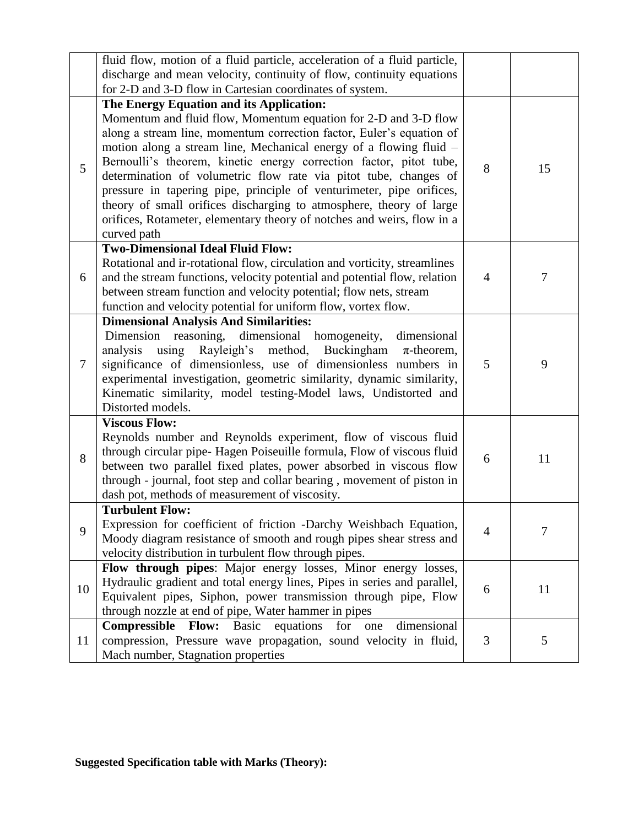|                | fluid flow, motion of a fluid particle, acceleration of a fluid particle,                                                                                                                                                                                                                                                                                                                                                                                                                                                                                                                                                    |                |        |
|----------------|------------------------------------------------------------------------------------------------------------------------------------------------------------------------------------------------------------------------------------------------------------------------------------------------------------------------------------------------------------------------------------------------------------------------------------------------------------------------------------------------------------------------------------------------------------------------------------------------------------------------------|----------------|--------|
|                | discharge and mean velocity, continuity of flow, continuity equations                                                                                                                                                                                                                                                                                                                                                                                                                                                                                                                                                        |                |        |
|                | for 2-D and 3-D flow in Cartesian coordinates of system.                                                                                                                                                                                                                                                                                                                                                                                                                                                                                                                                                                     |                |        |
| 5              | The Energy Equation and its Application:<br>Momentum and fluid flow, Momentum equation for 2-D and 3-D flow<br>along a stream line, momentum correction factor, Euler's equation of<br>motion along a stream line, Mechanical energy of a flowing fluid –<br>Bernoulli's theorem, kinetic energy correction factor, pitot tube,<br>determination of volumetric flow rate via pitot tube, changes of<br>pressure in tapering pipe, principle of venturimeter, pipe orifices,<br>theory of small orifices discharging to atmosphere, theory of large<br>orifices, Rotameter, elementary theory of notches and weirs, flow in a | 8              | 15     |
|                | curved path                                                                                                                                                                                                                                                                                                                                                                                                                                                                                                                                                                                                                  |                |        |
| 6              | <b>Two-Dimensional Ideal Fluid Flow:</b><br>Rotational and ir-rotational flow, circulation and vorticity, streamlines<br>and the stream functions, velocity potential and potential flow, relation<br>between stream function and velocity potential; flow nets, stream<br>function and velocity potential for uniform flow, vortex flow.                                                                                                                                                                                                                                                                                    | $\overline{4}$ | $\tau$ |
|                | <b>Dimensional Analysis And Similarities:</b>                                                                                                                                                                                                                                                                                                                                                                                                                                                                                                                                                                                |                |        |
| $\overline{7}$ | Dimension reasoning, dimensional homogeneity,<br>dimensional<br>using Rayleigh's method, Buckingham<br>analysis<br>$\pi$ -theorem,<br>significance of dimensionless, use of dimensionless numbers in<br>experimental investigation, geometric similarity, dynamic similarity,<br>Kinematic similarity, model testing-Model laws, Undistorted and<br>Distorted models.                                                                                                                                                                                                                                                        | 5              | 9      |
|                | <b>Viscous Flow:</b>                                                                                                                                                                                                                                                                                                                                                                                                                                                                                                                                                                                                         |                |        |
| 8              | Reynolds number and Reynolds experiment, flow of viscous fluid<br>through circular pipe-Hagen Poiseuille formula, Flow of viscous fluid<br>between two parallel fixed plates, power absorbed in viscous flow<br>through - journal, foot step and collar bearing, movement of piston in<br>dash pot, methods of measurement of viscosity.                                                                                                                                                                                                                                                                                     | 6              | 11     |
| 9              | <b>Turbulent Flow:</b>                                                                                                                                                                                                                                                                                                                                                                                                                                                                                                                                                                                                       |                |        |
|                | Expression for coefficient of friction -Darchy Weishbach Equation,<br>Moody diagram resistance of smooth and rough pipes shear stress and<br>velocity distribution in turbulent flow through pipes.                                                                                                                                                                                                                                                                                                                                                                                                                          | $\overline{4}$ | 7      |
| 10             | Flow through pipes: Major energy losses, Minor energy losses,                                                                                                                                                                                                                                                                                                                                                                                                                                                                                                                                                                |                |        |
|                | Hydraulic gradient and total energy lines, Pipes in series and parallel,                                                                                                                                                                                                                                                                                                                                                                                                                                                                                                                                                     |                | 11     |
|                | Equivalent pipes, Siphon, power transmission through pipe, Flow                                                                                                                                                                                                                                                                                                                                                                                                                                                                                                                                                              | 6              |        |
|                | through nozzle at end of pipe, Water hammer in pipes                                                                                                                                                                                                                                                                                                                                                                                                                                                                                                                                                                         |                |        |
| 11             | <b>Compressible Flow:</b> Basic equations<br>dimensional<br>for<br>one<br>compression, Pressure wave propagation, sound velocity in fluid,<br>Mach number, Stagnation properties                                                                                                                                                                                                                                                                                                                                                                                                                                             | 3              | 5      |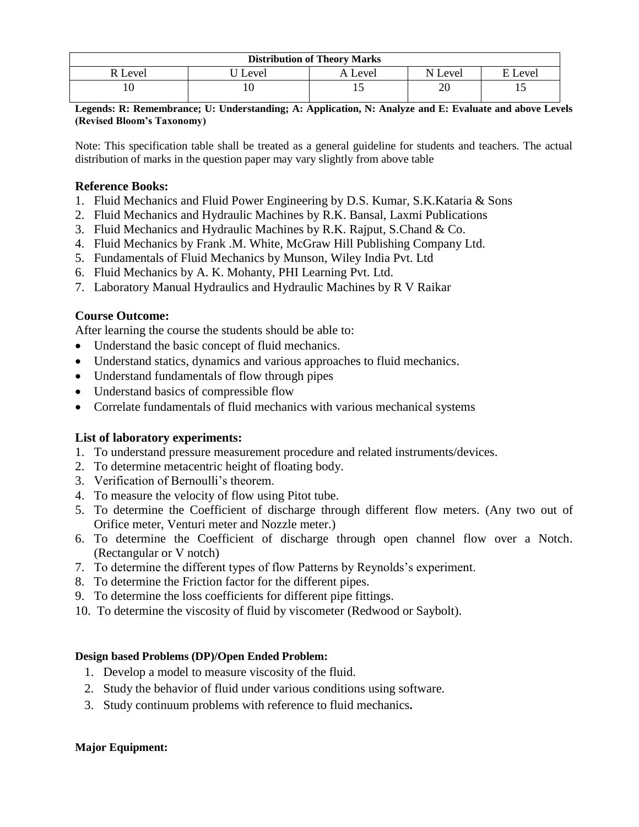| <b>Distribution of Theory Marks</b> |         |         |         |             |  |  |  |
|-------------------------------------|---------|---------|---------|-------------|--|--|--|
| : Level                             | ' Level | A Level | N Level | Level<br>E. |  |  |  |
|                                     |         | ⊥ J     | 20      |             |  |  |  |

**Legends: R: Remembrance; U: Understanding; A: Application, N: Analyze and E: Evaluate and above Levels (Revised Bloom's Taxonomy)**

Note: This specification table shall be treated as a general guideline for students and teachers. The actual distribution of marks in the question paper may vary slightly from above table

### **Reference Books:**

- 1. Fluid Mechanics and Fluid Power Engineering by D.S. Kumar, S.K.Kataria & Sons
- 2. Fluid Mechanics and Hydraulic Machines by R.K. Bansal, Laxmi Publications
- 3. Fluid Mechanics and Hydraulic Machines by R.K. Rajput, S.Chand & Co.
- 4. Fluid Mechanics by Frank .M. White, McGraw Hill Publishing Company Ltd.
- 5. Fundamentals of Fluid Mechanics by Munson, Wiley India Pvt. Ltd
- 6. Fluid Mechanics by A. K. Mohanty, PHI Learning Pvt. Ltd.
- 7. Laboratory Manual Hydraulics and Hydraulic Machines by R V Raikar

## **Course Outcome:**

After learning the course the students should be able to:

- Understand the basic concept of fluid mechanics.
- Understand statics, dynamics and various approaches to fluid mechanics.
- Understand fundamentals of flow through pipes
- Understand basics of compressible flow
- Correlate fundamentals of fluid mechanics with various mechanical systems

#### **List of laboratory experiments:**

- 1. To understand pressure measurement procedure and related instruments/devices.
- 2. To determine metacentric height of floating body.
- 3. Verification of Bernoulli's theorem.
- 4. To measure the velocity of flow using Pitot tube.
- 5. To determine the Coefficient of discharge through different flow meters. (Any two out of Orifice meter, Venturi meter and Nozzle meter.)
- 6. To determine the Coefficient of discharge through open channel flow over a Notch. (Rectangular or V notch)
- 7. To determine the different types of flow Patterns by Reynolds's experiment.
- 8. To determine the Friction factor for the different pipes.
- 9. To determine the loss coefficients for different pipe fittings.
- 10. To determine the viscosity of fluid by viscometer (Redwood or Saybolt).

#### **Design based Problems (DP)/Open Ended Problem:**

- 1. Develop a model to measure viscosity of the fluid.
- 2. Study the behavior of fluid under various conditions using software.
- 3. Study continuum problems with reference to fluid mechanics**.**

#### **Major Equipment:**